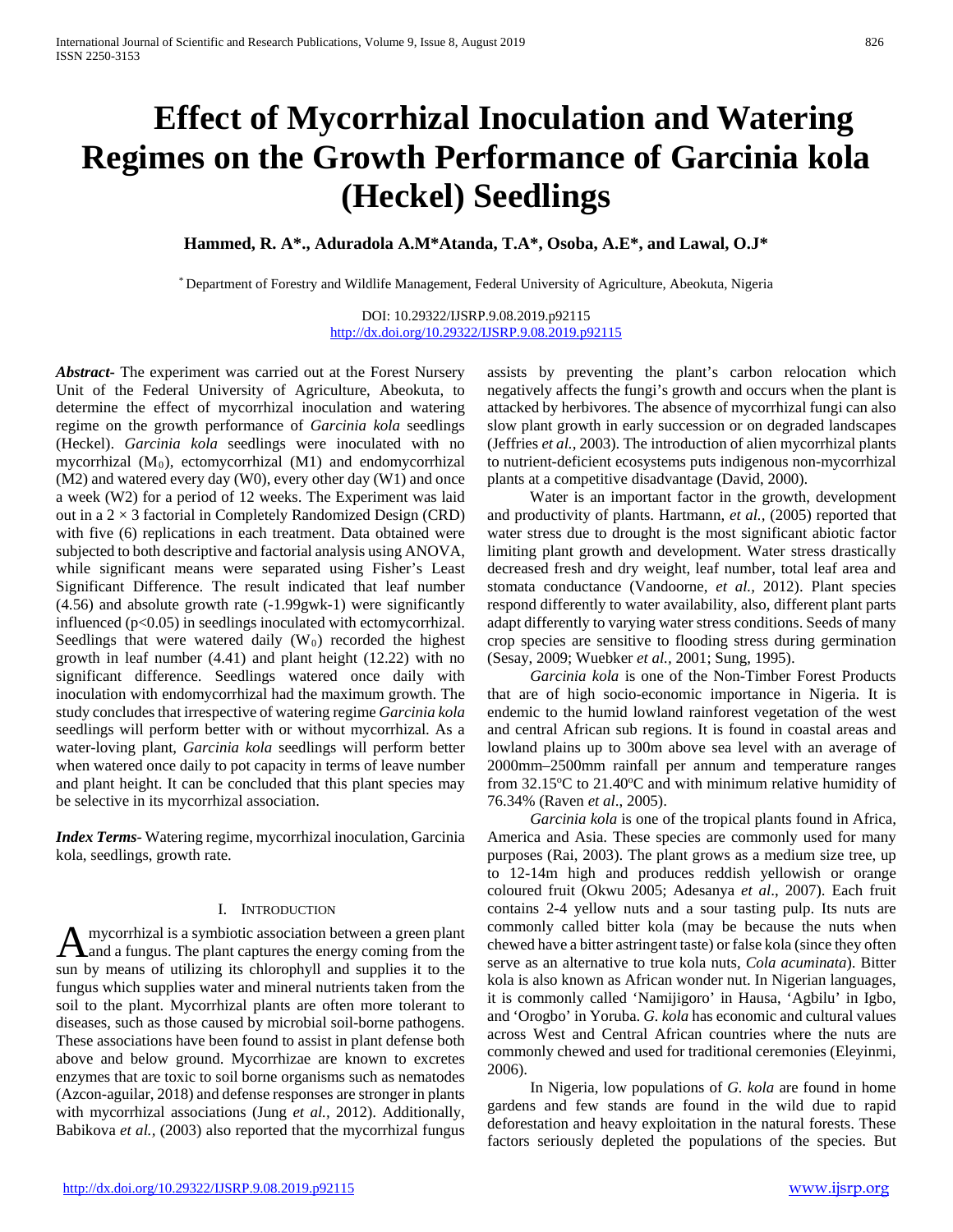# **Effect of Mycorrhizal Inoculation and Watering Regimes on the Growth Performance of Garcinia kola (Heckel) Seedlings**

## **Hammed, R. A\*., Aduradola A.M\*Atanda, T.A\*, Osoba, A.E\*, and Lawal, O.J\***

\* Department of Forestry and Wildlife Management, Federal University of Agriculture, Abeokuta, Nigeria

DOI: 10.29322/IJSRP.9.08.2019.p92115 <http://dx.doi.org/10.29322/IJSRP.9.08.2019.p92115>

*Abstract***-** The experiment was carried out at the Forest Nursery Unit of the Federal University of Agriculture, Abeokuta, to determine the effect of mycorrhizal inoculation and watering regime on the growth performance of *Garcinia kola* seedlings (Heckel). *Garcinia kola* seedlings were inoculated with no mycorrhizal (M0), ectomycorrhizal (M1) and endomycorrhizal (M2) and watered every day (W0), every other day (W1) and once a week (W2) for a period of 12 weeks. The Experiment was laid out in a  $2 \times 3$  factorial in Completely Randomized Design (CRD) with five (6) replications in each treatment. Data obtained were subjected to both descriptive and factorial analysis using ANOVA, while significant means were separated using Fisher's Least Significant Difference. The result indicated that leaf number (4.56) and absolute growth rate (-1.99gwk-1) were significantly influenced (p<0.05) in seedlings inoculated with ectomycorrhizal. Seedlings that were watered daily  $(W_0)$  recorded the highest growth in leaf number (4.41) and plant height (12.22) with no significant difference. Seedlings watered once daily with inoculation with endomycorrhizal had the maximum growth. The study concludes that irrespective of watering regime *Garcinia kola* seedlings will perform better with or without mycorrhizal. As a water-loving plant, *Garcinia kola* seedlings will perform better when watered once daily to pot capacity in terms of leave number and plant height. It can be concluded that this plant species may be selective in its mycorrhizal association.

*Index Terms*- Watering regime, mycorrhizal inoculation, Garcinia kola, seedlings, growth rate.

#### I. INTRODUCTION

mycorrhizal is a symbiotic association between a green plant A mycorrhizal is a symbiotic association between a green plant<br>and a fungus. The plant captures the energy coming from the sun by means of utilizing its chlorophyll and supplies it to the fungus which supplies water and mineral nutrients taken from the soil to the plant. Mycorrhizal plants are often more tolerant to diseases, such as those caused by microbial soil-borne pathogens. These associations have been found to assist in plant defense both above and below ground. Mycorrhizae are known to excretes enzymes that are toxic to soil borne organisms such as nematodes (Azcon-aguilar, 2018) and defense responses are stronger in plants with mycorrhizal associations (Jung *et al.,* 2012). Additionally, Babikova *et al.,* (2003) also reported that the mycorrhizal fungus

assists by preventing the plant's carbon relocation which negatively affects the fungi's growth and occurs when the plant is attacked by herbivores. The absence of mycorrhizal fungi can also slow plant growth in early succession or on degraded landscapes (Jeffries *et al.*, 2003). The introduction of alien mycorrhizal plants to nutrient-deficient ecosystems puts indigenous non-mycorrhizal plants at a competitive disadvantage (David, 2000).

 Water is an important factor in the growth, development and productivity of plants. Hartmann, *et al.,* (2005) reported that water stress due to drought is the most significant abiotic factor limiting plant growth and development. Water stress drastically decreased fresh and dry weight, leaf number, total leaf area and stomata conductance (Vandoorne, *et al.,* 2012). Plant species respond differently to water availability, also, different plant parts adapt differently to varying water stress conditions. Seeds of many crop species are sensitive to flooding stress during germination (Sesay, 2009; Wuebker *et al.,* 2001; Sung, 1995).

 *Garcinia kola* is one of the Non-Timber Forest Products that are of high socio-economic importance in Nigeria. It is endemic to the humid lowland rainforest vegetation of the west and central African sub regions. It is found in coastal areas and lowland plains up to 300m above sea level with an average of 2000mm–2500mm rainfall per annum and temperature ranges from 32.15°C to 21.40°C and with minimum relative humidity of 76.34% (Raven *et al*., 2005).

 *Garcinia kola* is one of the tropical plants found in Africa, America and Asia. These species are commonly used for many purposes (Rai, 2003). The plant grows as a medium size tree, up to 12-14m high and produces reddish yellowish or orange coloured fruit (Okwu 2005; Adesanya *et al*., 2007). Each fruit contains 2-4 yellow nuts and a sour tasting pulp. Its nuts are commonly called bitter kola (may be because the nuts when chewed have a bitter astringent taste) or false kola (since they often serve as an alternative to true kola nuts, *Cola acuminata*). Bitter kola is also known as African wonder nut. In Nigerian languages, it is commonly called 'Namijigoro' in Hausa, 'Agbilu' in Igbo, and 'Orogbo' in Yoruba. *G. kola* has economic and cultural values across West and Central African countries where the nuts are commonly chewed and used for traditional ceremonies (Eleyinmi, 2006).

 In Nigeria, low populations of *G. kola* are found in home gardens and few stands are found in the wild due to rapid deforestation and heavy exploitation in the natural forests. These factors seriously depleted the populations of the species. But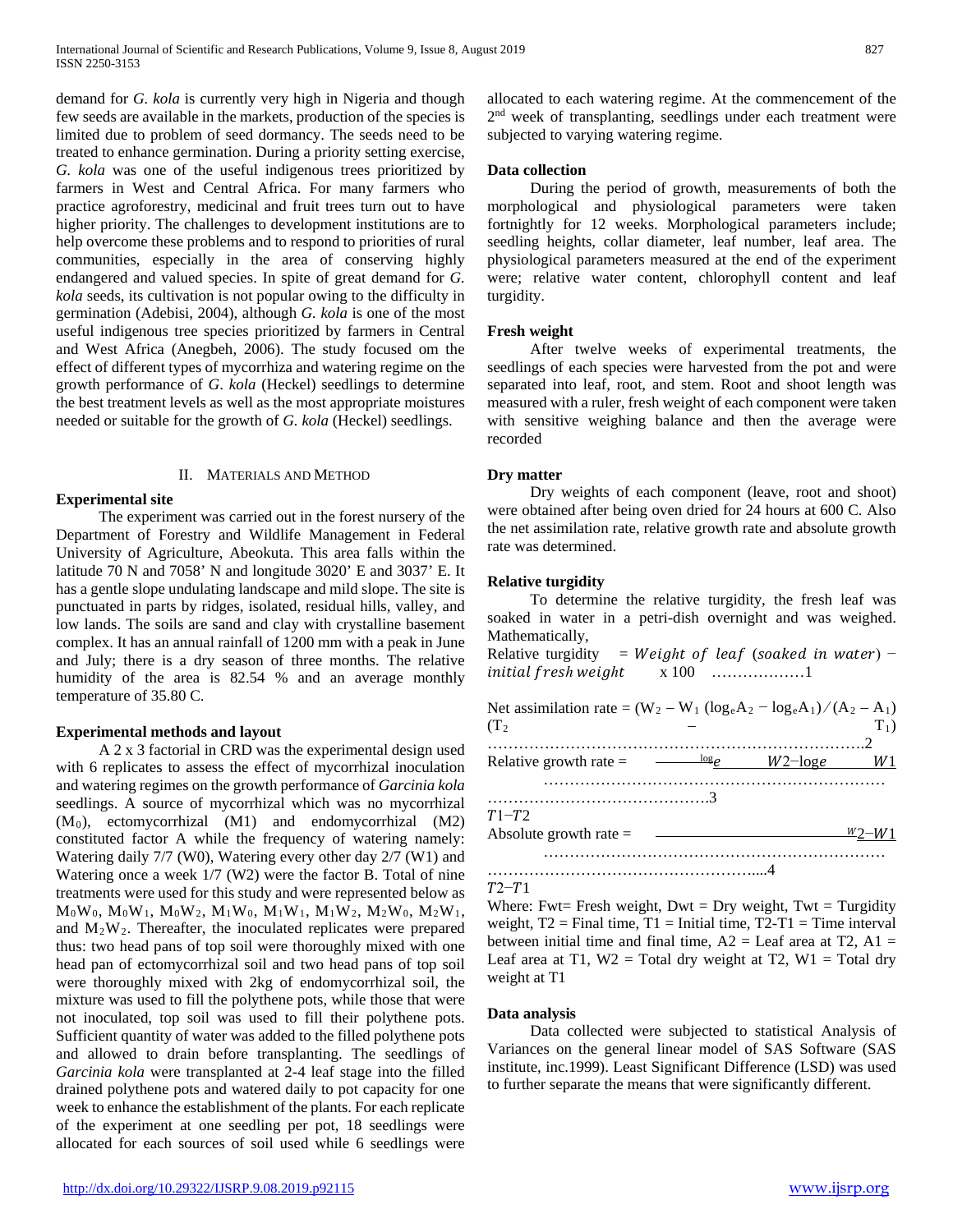demand for *G. kola* is currently very high in Nigeria and though few seeds are available in the markets, production of the species is limited due to problem of seed dormancy. The seeds need to be treated to enhance germination. During a priority setting exercise, *G. kola* was one of the useful indigenous trees prioritized by farmers in West and Central Africa. For many farmers who practice agroforestry, medicinal and fruit trees turn out to have higher priority. The challenges to development institutions are to help overcome these problems and to respond to priorities of rural communities, especially in the area of conserving highly endangered and valued species. In spite of great demand for *G. kola* seeds, its cultivation is not popular owing to the difficulty in germination (Adebisi, 2004), although *G. kola* is one of the most useful indigenous tree species prioritized by farmers in Central and West Africa (Anegbeh, 2006). The study focused om the effect of different types of mycorrhiza and watering regime on the growth performance of *G*. *kola* (Heckel) seedlings to determine the best treatment levels as well as the most appropriate moistures needed or suitable for the growth of *G. kola* (Heckel) seedlings.

## II. MATERIALS AND METHOD

## **Experimental site**

 The experiment was carried out in the forest nursery of the Department of Forestry and Wildlife Management in Federal University of Agriculture, Abeokuta. This area falls within the latitude 70 N and 7058' N and longitude 3020' E and 3037' E. It has a gentle slope undulating landscape and mild slope. The site is punctuated in parts by ridges, isolated, residual hills, valley, and low lands. The soils are sand and clay with crystalline basement complex. It has an annual rainfall of 1200 mm with a peak in June and July; there is a dry season of three months. The relative humidity of the area is 82.54 % and an average monthly temperature of 35.80 C.

## **Experimental methods and layout**

 A 2 x 3 factorial in CRD was the experimental design used with 6 replicates to assess the effect of mycorrhizal inoculation and watering regimes on the growth performance of *Garcinia kola*  seedlings. A source of mycorrhizal which was no mycorrhizal (M0), ectomycorrhizal (M1) and endomycorrhizal (M2) constituted factor A while the frequency of watering namely: Watering daily 7/7 (W0), Watering every other day 2/7 (W1) and Watering once a week 1/7 (W2) were the factor B. Total of nine treatments were used for this study and were represented below as  $M_0W_0$ ,  $M_0W_1$ ,  $M_0W_2$ ,  $M_1W_0$ ,  $M_1W_1$ ,  $M_1W_2$ ,  $M_2W_0$ ,  $M_2W_1$ , and  $M_2W_2$ . Thereafter, the inoculated replicates were prepared thus: two head pans of top soil were thoroughly mixed with one head pan of ectomycorrhizal soil and two head pans of top soil were thoroughly mixed with 2kg of endomycorrhizal soil, the mixture was used to fill the polythene pots, while those that were not inoculated, top soil was used to fill their polythene pots. Sufficient quantity of water was added to the filled polythene pots and allowed to drain before transplanting. The seedlings of *Garcinia kola* were transplanted at 2-4 leaf stage into the filled drained polythene pots and watered daily to pot capacity for one week to enhance the establishment of the plants. For each replicate of the experiment at one seedling per pot, 18 seedlings were allocated for each sources of soil used while 6 seedlings were allocated to each watering regime. At the commencement of the 2<sup>nd</sup> week of transplanting, seedlings under each treatment were subjected to varying watering regime.

## **Data collection**

 During the period of growth, measurements of both the morphological and physiological parameters were taken fortnightly for 12 weeks. Morphological parameters include; seedling heights, collar diameter, leaf number, leaf area. The physiological parameters measured at the end of the experiment were; relative water content, chlorophyll content and leaf turgidity.

## **Fresh weight**

 After twelve weeks of experimental treatments, the seedlings of each species were harvested from the pot and were separated into leaf, root, and stem. Root and shoot length was measured with a ruler, fresh weight of each component were taken with sensitive weighing balance and then the average were recorded

## **Dry matter**

 Dry weights of each component (leave, root and shoot) were obtained after being oven dried for 24 hours at 600 C. Also the net assimilation rate, relative growth rate and absolute growth rate was determined.

## **Relative turgidity**

 To determine the relative turgidity, the fresh leaf was soaked in water in a petri-dish overnight and was weighed. Mathematically,

Relative turgidity = ℎ ( ) − x 100 ………………1

| Net assimilation rate = $(W_2 - W_1 (log_e A_2 - log_e A_1) / (A_2 - A_1)$<br>(T <sub>2</sub> ) |                               |            | $T_1$ |
|-------------------------------------------------------------------------------------------------|-------------------------------|------------|-------|
| Relative growth rate $=$                                                                        | $\frac{\log \rho}{\log \rho}$ | $W2$ -loge |       |
| $T1-T2$                                                                                         |                               |            |       |
| Absolute growth rate $=$                                                                        |                               |            | W2-W1 |
|                                                                                                 |                               |            |       |

## $T2-T1$

Where: Fwt= Fresh weight,  $Dwt = Dry$  weight,  $Twt = Turgidity$ weight,  $T2 = Final time$ ,  $T1 = Initial time$ ,  $T2 - T1 = Time interval$ between initial time and final time,  $A2 =$  Leaf area at T2,  $A1 =$ Leaf area at T1,  $W2 = Total$  dry weight at T2,  $W1 = Total$  dry weight at T1

## **Data analysis**

 Data collected were subjected to statistical Analysis of Variances on the general linear model of SAS Software (SAS institute, inc.1999). Least Significant Difference (LSD) was used to further separate the means that were significantly different.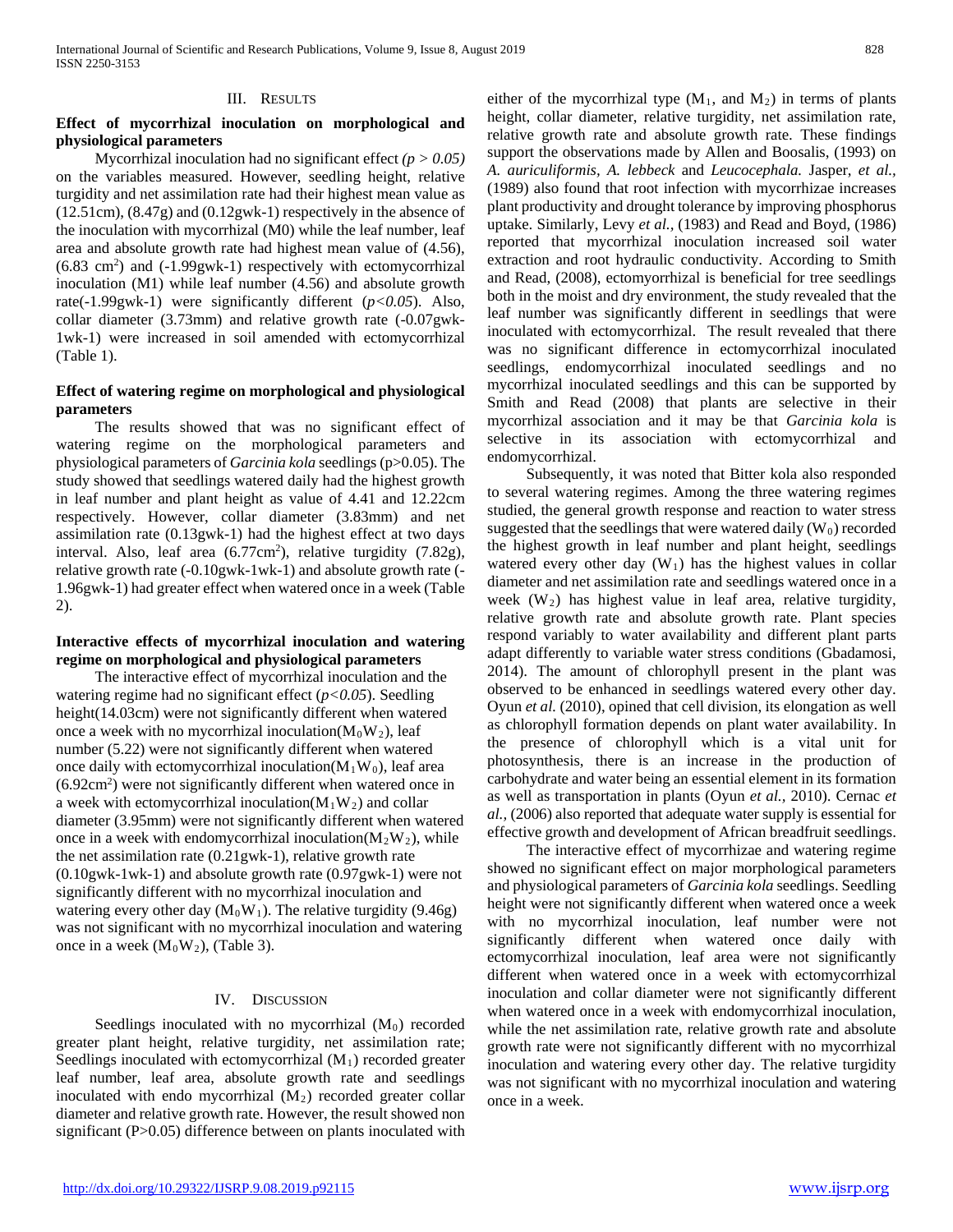#### III. RESULTS

## **Effect of mycorrhizal inoculation on morphological and physiological parameters**

 Mycorrhizal inoculation had no significant effect *(p > 0.05)*  on the variables measured. However, seedling height, relative turgidity and net assimilation rate had their highest mean value as (12.51cm), (8.47g) and (0.12gwk-1) respectively in the absence of the inoculation with mycorrhizal (M0) while the leaf number, leaf area and absolute growth rate had highest mean value of (4.56), (6.83 cm2 ) and (-1.99gwk-1) respectively with ectomycorrhizal inoculation (M1) while leaf number (4.56) and absolute growth rate(-1.99gwk-1) were significantly different (*p<0.05*). Also, collar diameter (3.73mm) and relative growth rate (-0.07gwk-1wk-1) were increased in soil amended with ectomycorrhizal (Table 1).

## **Effect of watering regime on morphological and physiological parameters**

 The results showed that was no significant effect of watering regime on the morphological parameters and physiological parameters of *Garcinia kola* seedlings (p>0.05). The study showed that seedlings watered daily had the highest growth in leaf number and plant height as value of 4.41 and 12.22cm respectively. However, collar diameter (3.83mm) and net assimilation rate (0.13gwk-1) had the highest effect at two days interval. Also, leaf area (6.77cm<sup>2</sup>), relative turgidity (7.82g), relative growth rate (-0.10gwk-1wk-1) and absolute growth rate (- 1.96gwk-1) had greater effect when watered once in a week (Table 2).

## **Interactive effects of mycorrhizal inoculation and watering regime on morphological and physiological parameters**

 The interactive effect of mycorrhizal inoculation and the watering regime had no significant effect (*p<0.05*). Seedling height(14.03cm) were not significantly different when watered once a week with no mycorrhizal inoculation( $M_0W_2$ ), leaf number (5.22) were not significantly different when watered once daily with ectomycorrhizal inoculation( $M_1W_0$ ), leaf area (6.92cm2 ) were not significantly different when watered once in a week with ectomycorrhizal inoculation( $M_1W_2$ ) and collar diameter (3.95mm) were not significantly different when watered once in a week with endomycorrhizal inoculation( $M_2W_2$ ), while the net assimilation rate (0.21gwk-1), relative growth rate (0.10gwk-1wk-1) and absolute growth rate (0.97gwk-1) were not significantly different with no mycorrhizal inoculation and watering every other day  $(M_0W_1)$ . The relative turgidity (9.46g) was not significant with no mycorrhizal inoculation and watering once in a week  $(M_0W_2)$ , (Table 3).

## IV. DISCUSSION

Seedlings inoculated with no mycorrhizal  $(M_0)$  recorded greater plant height, relative turgidity, net assimilation rate; Seedlings inoculated with ectomycorrhizal  $(M_1)$  recorded greater leaf number, leaf area, absolute growth rate and seedlings inoculated with endo mycorrhizal  $(M_2)$  recorded greater collar diameter and relative growth rate. However, the result showed non significant (P>0.05) difference between on plants inoculated with either of the mycorrhizal type  $(M_1, \text{ and } M_2)$  in terms of plants height, collar diameter, relative turgidity, net assimilation rate, relative growth rate and absolute growth rate. These findings support the observations made by Allen and Boosalis, (1993) on *A. auriculiformis, A. lebbeck* and *Leucocephala.* Jasper, *et al.,*  (1989) also found that root infection with mycorrhizae increases plant productivity and drought tolerance by improving phosphorus uptake. Similarly, Levy *et al.,* (1983) and Read and Boyd, (1986) reported that mycorrhizal inoculation increased soil water extraction and root hydraulic conductivity. According to Smith and Read, (2008), ectomyorrhizal is beneficial for tree seedlings both in the moist and dry environment, the study revealed that the leaf number was significantly different in seedlings that were inoculated with ectomycorrhizal. The result revealed that there was no significant difference in ectomycorrhizal inoculated seedlings, endomycorrhizal inoculated seedlings and no mycorrhizal inoculated seedlings and this can be supported by Smith and Read (2008) that plants are selective in their mycorrhizal association and it may be that *Garcinia kola* is selective in its association with ectomycorrhizal and endomycorrhizal.

 Subsequently, it was noted that Bitter kola also responded to several watering regimes. Among the three watering regimes studied, the general growth response and reaction to water stress suggested that the seedlings that were watered daily  $(W_0)$  recorded the highest growth in leaf number and plant height, seedlings watered every other day  $(W_1)$  has the highest values in collar diameter and net assimilation rate and seedlings watered once in a week  $(W_2)$  has highest value in leaf area, relative turgidity, relative growth rate and absolute growth rate. Plant species respond variably to water availability and different plant parts adapt differently to variable water stress conditions (Gbadamosi, 2014). The amount of chlorophyll present in the plant was observed to be enhanced in seedlings watered every other day. Oyun *et al.* (2010), opined that cell division, its elongation as well as chlorophyll formation depends on plant water availability. In the presence of chlorophyll which is a vital unit for photosynthesis, there is an increase in the production of carbohydrate and water being an essential element in its formation as well as transportation in plants (Oyun *et al.,* 2010). Cernac *et al.,* (2006) also reported that adequate water supply is essential for effective growth and development of African breadfruit seedlings.

 The interactive effect of mycorrhizae and watering regime showed no significant effect on major morphological parameters and physiological parameters of *Garcinia kola* seedlings. Seedling height were not significantly different when watered once a week with no mycorrhizal inoculation, leaf number were not significantly different when watered once daily with ectomycorrhizal inoculation, leaf area were not significantly different when watered once in a week with ectomycorrhizal inoculation and collar diameter were not significantly different when watered once in a week with endomycorrhizal inoculation, while the net assimilation rate, relative growth rate and absolute growth rate were not significantly different with no mycorrhizal inoculation and watering every other day. The relative turgidity was not significant with no mycorrhizal inoculation and watering once in a week.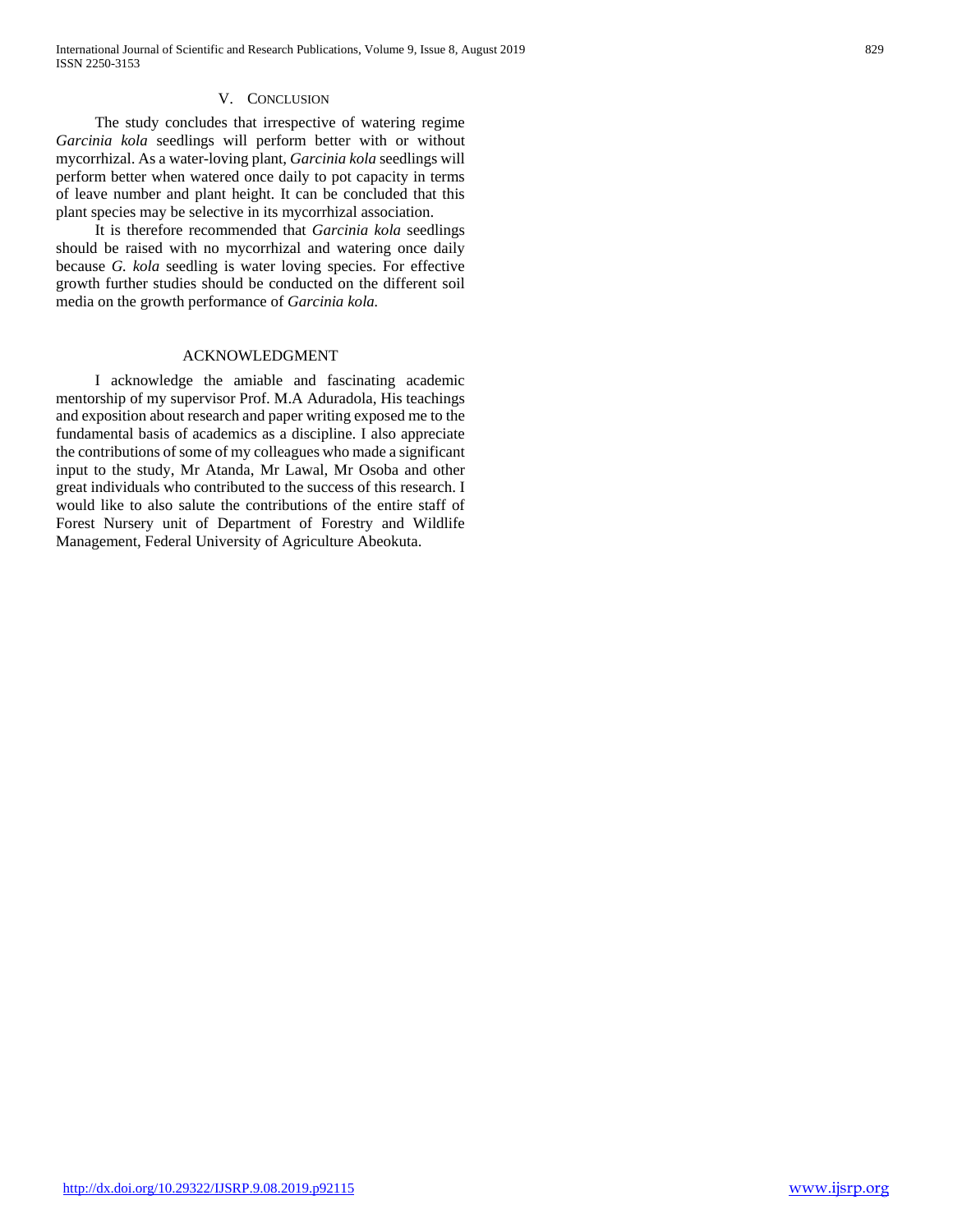## V. CONCLUSION

 The study concludes that irrespective of watering regime *Garcinia kola* seedlings will perform better with or without mycorrhizal. As a water-loving plant, *Garcinia kola* seedlings will perform better when watered once daily to pot capacity in terms of leave number and plant height. It can be concluded that this plant species may be selective in its mycorrhizal association.

 It is therefore recommended that *Garcinia kola* seedlings should be raised with no mycorrhizal and watering once daily because *G. kola* seedling is water loving species. For effective growth further studies should be conducted on the different soil media on the growth performance of *Garcinia kola.*

#### ACKNOWLEDGMENT

 I acknowledge the amiable and fascinating academic mentorship of my supervisor Prof. M.A Aduradola, His teachings and exposition about research and paper writing exposed me to the fundamental basis of academics as a discipline. I also appreciate the contributions of some of my colleagues who made a significant input to the study, Mr Atanda, Mr Lawal, Mr Osoba and other great individuals who contributed to the success of this research. I would like to also salute the contributions of the entire staff of Forest Nursery unit of Department of Forestry and Wildlife Management, Federal University of Agriculture Abeokuta.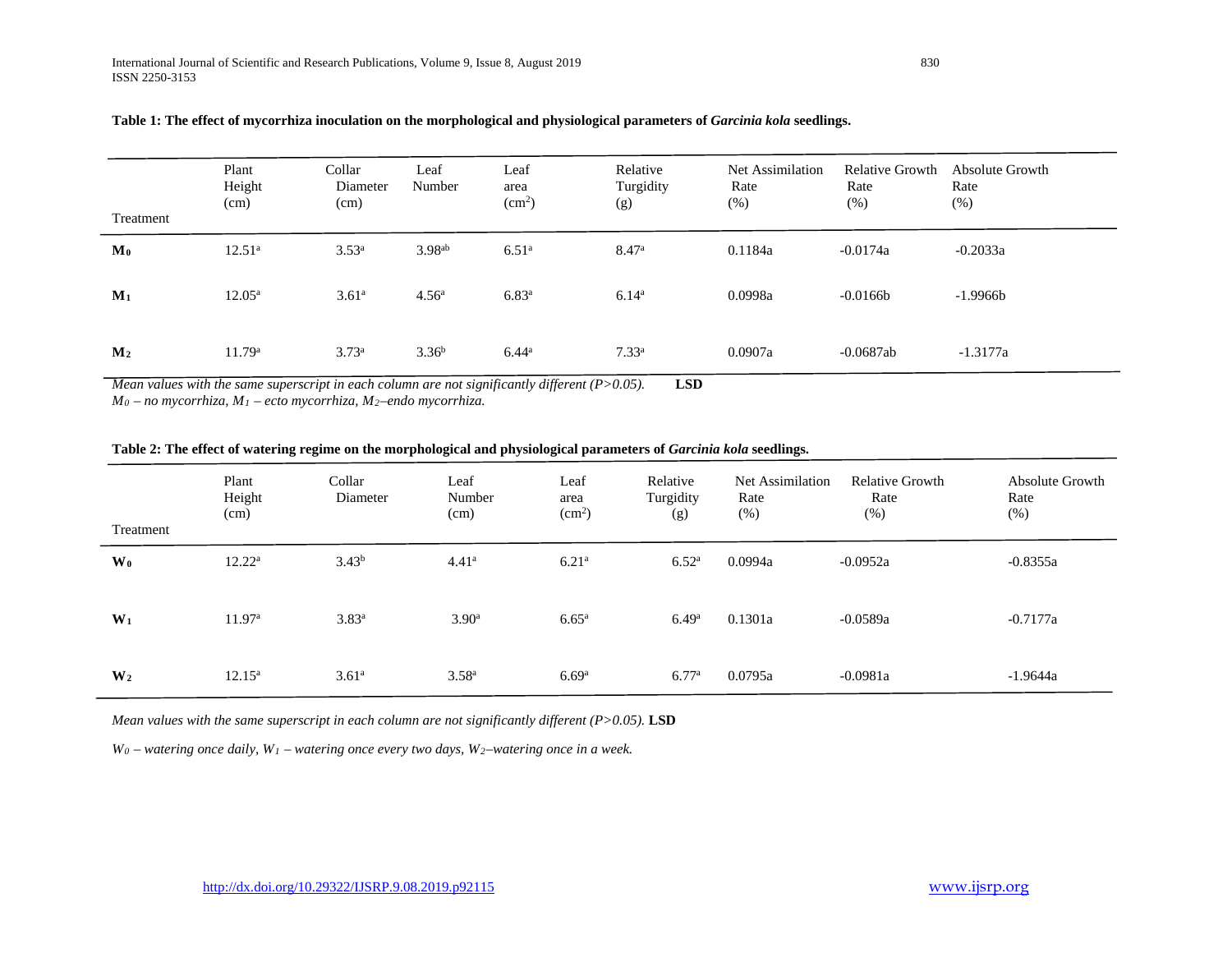| Treatment      | Plant<br>Height<br>(cm) | Collar<br>Diameter<br>(cm) | Leaf<br>Number     | Leaf<br>area<br>(cm <sup>2</sup> ) | Relative<br>Turgidity<br>(g) | Net Assimilation<br>Rate<br>$(\%)$ | <b>Relative Growth</b><br>Rate<br>(%) | Absolute Growth<br>Rate<br>(%) |
|----------------|-------------------------|----------------------------|--------------------|------------------------------------|------------------------------|------------------------------------|---------------------------------------|--------------------------------|
| $\mathbf{M}_0$ | $12.51^{\circ}$         | $3.53^{a}$                 | 3.98 <sup>ab</sup> | 6.51 <sup>a</sup>                  | 8.47 <sup>a</sup>            | 0.1184a                            | $-0.0174a$                            | $-0.2033a$                     |
| $M_1$          | $12.05^{\rm a}$         | 3.61 <sup>a</sup>          | 4.56 <sup>a</sup>  | 6.83 <sup>a</sup>                  | 6.14 <sup>a</sup>            | 0.0998a                            | $-0.0166b$                            | $-1.9966b$                     |
| M <sub>2</sub> | 11.79 <sup>a</sup>      | $3.73^{a}$                 | $3.36^{b}$         | $6.44^{\rm a}$                     | $7.33^{a}$                   | 0.0907a                            | $-0.0687ab$                           | $-1.3177a$                     |

## **Table 1: The effect of mycorrhiza inoculation on the morphological and physiological parameters of** *Garcinia kola* **seedlings.**

*Mean values with the same superscript in each column are not significantly different (P>0.05).* **LSD**

*M0 – no mycorrhiza, M1 – ecto mycorrhiza, M2–endo mycorrhiza.*

### **Table 2: The effect of watering regime on the morphological and physiological parameters of** *Garcinia kola* **seedlings.**

| Treatment      | Plant<br>Height<br>(cm) | Collar<br>Diameter | Leaf<br>Number<br>(cm) | Leaf<br>area<br>(cm <sup>2</sup> ) | Relative<br>Turgidity<br>(g) | Net Assimilation<br>Rate<br>(%) | <b>Relative Growth</b><br>Rate<br>$(\%)$ | Absolute Growth<br>Rate<br>$(\%)$ |
|----------------|-------------------------|--------------------|------------------------|------------------------------------|------------------------------|---------------------------------|------------------------------------------|-----------------------------------|
| $\mathbf{W_0}$ | $12.22^a$               | $3.43^{b}$         | 4.41 <sup>a</sup>      | 6.21 <sup>a</sup>                  | 6.52 <sup>a</sup>            | 0.0994a                         | $-0.0952a$                               | $-0.8355a$                        |
| $W_1$          | 11.97 <sup>a</sup>      | $3.83^{a}$         | 3.90 <sup>a</sup>      | 6.65 <sup>a</sup>                  | 6.49 <sup>a</sup>            | 0.1301a                         | $-0.0589a$                               | $-0.7177a$                        |
| W <sub>2</sub> | $12.15^{\rm a}$         | 3.61 <sup>a</sup>  | 3.58 <sup>a</sup>      | 6.69 <sup>a</sup>                  | 6.77a                        | 0.0795a                         | $-0.0981a$                               | $-1.9644a$                        |

*Mean values with the same superscript in each column are not significantly different (P>0.05).* **LSD**

*W0 – watering once daily, W1 – watering once every two days, W2–watering once in a week.*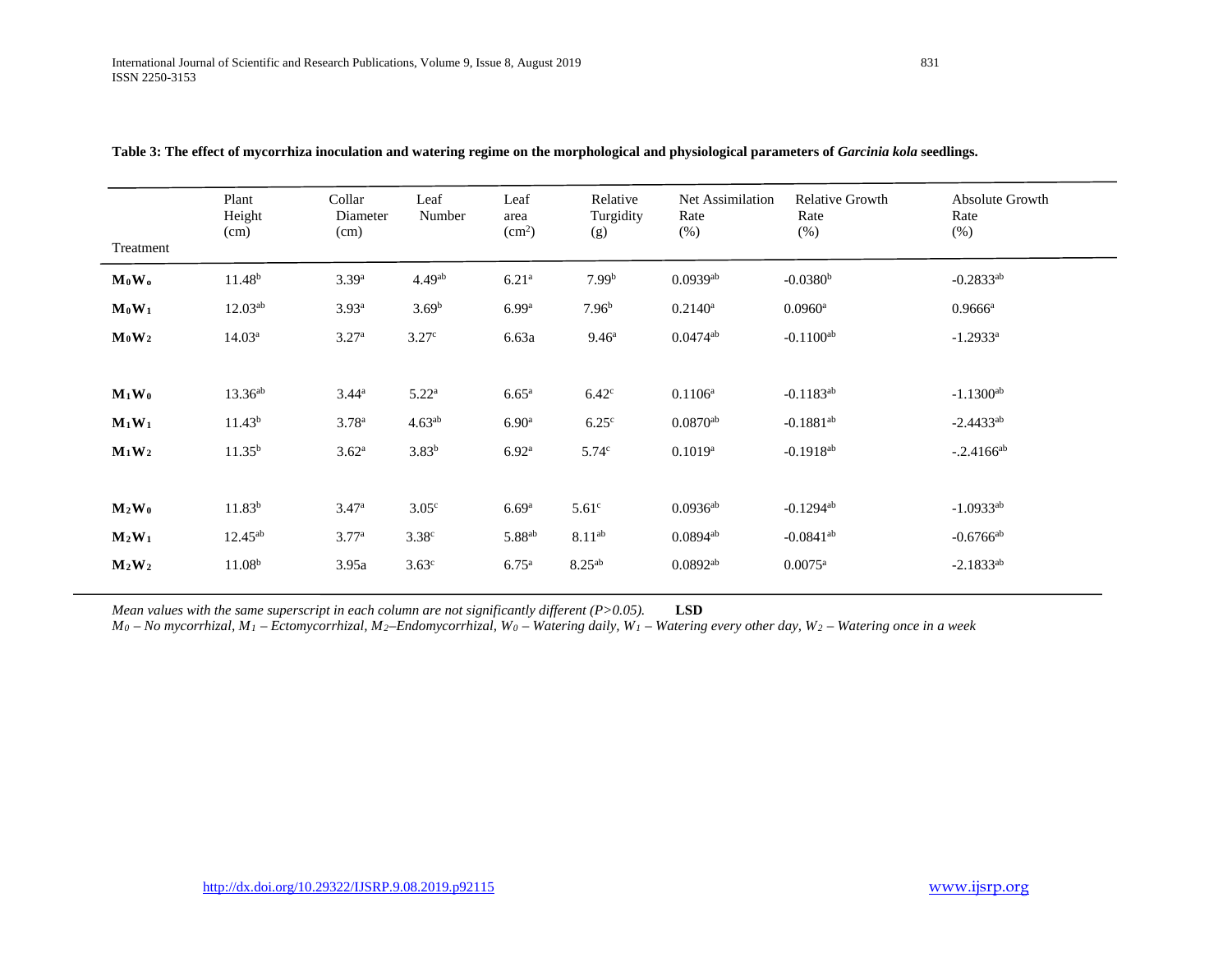| Treatment                  | Plant<br>Height<br>(cm) | Collar<br>Diameter<br>(cm) | Leaf<br>Number     | Leaf<br>area<br>(cm <sup>2</sup> ) | Relative<br>Turgidity<br>(g) | Net Assimilation<br>Rate<br>(% ) | <b>Relative Growth</b><br>Rate<br>(%) | Absolute Growth<br>Rate<br>(% ) |
|----------------------------|-------------------------|----------------------------|--------------------|------------------------------------|------------------------------|----------------------------------|---------------------------------------|---------------------------------|
| $M_0W_0$                   | 11.48 <sup>b</sup>      | $3.39^{a}$                 | 4.49 <sup>ab</sup> | $6.21^{a}$                         | 7.99 <sup>b</sup>            | $0.0939a$ <sup>b</sup>           | $-0.0380b$                            | $-0.2833^{ab}$                  |
| $\mathbf{M}_0\mathbf{W}_1$ | $12.03^{ab}$            | 3.93 <sup>a</sup>          | 3.69 <sup>b</sup>  | 6.99 <sup>a</sup>                  | 7.96 <sup>b</sup>            | $0.2140^a$                       | $0.0960$ <sup>a</sup>                 | $0.9666^a$                      |
| $M_0W_2$                   | 14.03 <sup>a</sup>      | 3.27 <sup>a</sup>          | 3.27 <sup>c</sup>  | 6.63a                              | 9.46 <sup>a</sup>            | $0.0474^{ab}$                    | $-0.1100^{ab}$                        | $-1.2933$ <sup>a</sup>          |
|                            |                         |                            |                    |                                    |                              |                                  |                                       |                                 |
| $M_1W_0$                   | $13.36^{ab}$            | $3.44^{\rm a}$             | $5.22^{\rm a}$     | $6.65^{\rm a}$                     | 6.42 <sup>c</sup>            | $0.1106^{a}$                     | $-0.1183^{ab}$                        | $-1.1300^{ab}$                  |
| $M_1W_1$                   | 11.43 <sup>b</sup>      | 3.78 <sup>a</sup>          | 4.63 <sup>ab</sup> | 6.90 <sup>a</sup>                  | 6.25 <sup>c</sup>            | $0.0870^{ab}$                    | $-0.1881^{ab}$                        | $-2.4433^{ab}$                  |
| $M_1W_2$                   | $11.35^{b}$             | $3.62^{\rm a}$             | $3.83^{b}$         | 6.92 <sup>a</sup>                  | 5.74 <sup>c</sup>            | $0.1019^{a}$                     | $-0.1918^{ab}$                        | $-.2.4166^{ab}$                 |
|                            |                         |                            |                    |                                    |                              |                                  |                                       |                                 |
| $M_2W_0$                   | 11.83 <sup>b</sup>      | 3.47 <sup>a</sup>          | 3.05 <sup>c</sup>  | 6.69 <sup>a</sup>                  | 5.61 <sup>c</sup>            | $0.0936^{ab}$                    | $-0.1294$ <sup>ab</sup>               | $-1.0933^{ab}$                  |
| $M_2W_1$                   | $12.45^{ab}$            | 3.77 <sup>a</sup>          | 3.38 <sup>c</sup>  | 5.88 <sup>ab</sup>                 | $8.11^{ab}$                  | $0.0894$ <sup>ab</sup>           | $-0.0841^{ab}$                        | $-0.6766$ <sup>ab</sup>         |
| $M_2W_2$                   | 11.08 <sup>b</sup>      | 3.95a                      | 3.63 <sup>c</sup>  | $6.75^{\rm a}$                     | $8.25^{ab}$                  | $0.0892^{ab}$                    | $0.0075$ <sup>a</sup>                 | $-2.1833^{ab}$                  |
|                            |                         |                            |                    |                                    |                              |                                  |                                       |                                 |

| Table 3: The effect of mycorrhiza inoculation and watering regime on the morphological and physiological parameters of Garcinia kola seedlings. |  |  |  |
|-------------------------------------------------------------------------------------------------------------------------------------------------|--|--|--|
|                                                                                                                                                 |  |  |  |

*Mean values with the same superscript in each column are not significantly different (P>0.05).* **LSD**

*M0 – No mycorrhizal, M1 – Ectomycorrhizal, M2–Endomycorrhizal, W0 – Watering daily, W1 – Watering every other day, W2 – Watering once in a week*